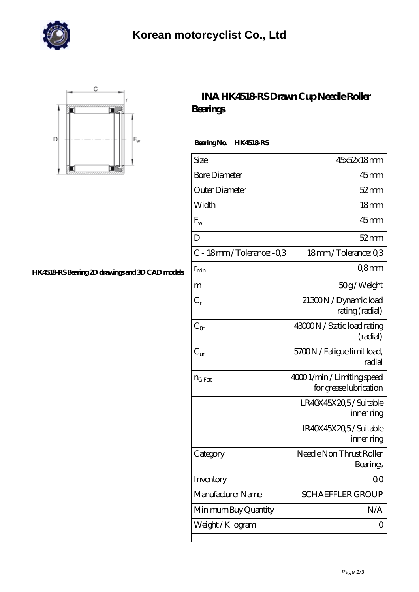



## **[HK4518-RS Bearing 2D drawings and 3D CAD models](https://m.johnsparagana.com/pic-310603.html)**

## **[INA HK4518-RS Drawn Cup Needle Roller](https://m.johnsparagana.com/aI-310603-ina-hk4518-rs-drawn-cup-needle-roller-bearings.html) [Bearings](https://m.johnsparagana.com/aI-310603-ina-hk4518-rs-drawn-cup-needle-roller-bearings.html)**

 **Bearing No. HK4518-RS**

| Size                     | 45x52x18mm                                            |
|--------------------------|-------------------------------------------------------|
| <b>Bore Diameter</b>     | $45$ mm                                               |
| Outer Diameter           | $52 \,\mathrm{mm}$                                    |
| Width                    | 18 <sub>mm</sub>                                      |
| $F_{w}$                  | $45$ mm                                               |
| D                        | $52$ mm                                               |
| C - 18mm/Tolerance: -0.3 | 18mm/Tolerance: Q3                                    |
| $r_{\rm min}$            | Q8mm                                                  |
| m                        | 50g/Weight                                            |
| $C_r$                    | 21300N / Dynamic load<br>rating (radial)              |
| $C_{\alpha}$             | 43000N / Static load rating<br>(radial)               |
| $C_{\text{ur}}$          | 5700N / Fatigue limit load,<br>radial                 |
| $n_{G Fett}$             | 4000 1/min / Limiting speed<br>for grease lubrication |
|                          | LR40X45X20,5/Suitable<br>inner ring                   |
|                          | IR40X45X20,5/Suitable<br>inner ring                   |
| Category                 | Needle Non Thrust Roller<br>Bearings                  |
| Inventory                | QO                                                    |
| Manufacturer Name        | <b>SCHAEFFLER GROUP</b>                               |
| Minimum Buy Quantity     | N/A                                                   |
| Weight / Kilogram        | Ő                                                     |
|                          |                                                       |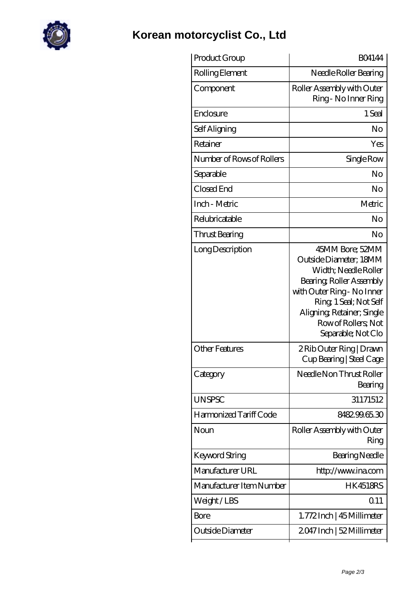

## **[Korean motorcyclist Co., Ltd](https://m.johnsparagana.com)**

| Product Group             | <b>BO4144</b>                                                                                                                                                                                                                   |
|---------------------------|---------------------------------------------------------------------------------------------------------------------------------------------------------------------------------------------------------------------------------|
| Rolling Element           | Needle Roller Bearing                                                                                                                                                                                                           |
| Component                 | Roller Assembly with Outer<br>Ring - No Inner Ring                                                                                                                                                                              |
| Enclosure                 | 1 Seal                                                                                                                                                                                                                          |
| Self Aligning             | No                                                                                                                                                                                                                              |
| Retainer                  | Yes                                                                                                                                                                                                                             |
| Number of Rows of Rollers | Single Row                                                                                                                                                                                                                      |
| Separable                 | No                                                                                                                                                                                                                              |
| Closed End                | No                                                                                                                                                                                                                              |
| Inch - Metric             | Metric                                                                                                                                                                                                                          |
| Relubricatable            | No                                                                                                                                                                                                                              |
| Thrust Bearing            | No                                                                                                                                                                                                                              |
| Long Description          | 45MM Bore; 52MM<br>Outside Diameter; 18MM<br>Width; Needle Roller<br>Bearing, Roller Assembly<br>with Outer Ring - No Inner<br>Ring, 1 Seal; Not Self<br>Aligning Retainer; Single<br>Row of Rollers, Not<br>Separable; Not Clo |
| <b>Other Features</b>     | 2 Rib Outer Ring   Drawn<br>Cup Bearing   Steel Cage                                                                                                                                                                            |
| Category                  | Needle Non Thrust Roller<br>Bearing                                                                                                                                                                                             |
| <b>UNSPSC</b>             | 31171512                                                                                                                                                                                                                        |
| Harmonized Tariff Code    | 848299.65.30                                                                                                                                                                                                                    |
| Noun                      | Roller Assembly with Outer<br>Ring                                                                                                                                                                                              |
| Keyword String            | Bearing Needle                                                                                                                                                                                                                  |
| Manufacturer URL          | http://www.ina.com                                                                                                                                                                                                              |
| Manufacturer Item Number  | <b>HK4518RS</b>                                                                                                                                                                                                                 |
| Weight/LBS                | 0.11                                                                                                                                                                                                                            |
| Bore                      | 1.772Inch   45 Millimeter                                                                                                                                                                                                       |
| Outside Diameter          | 2047 Inch   52 Millimeter                                                                                                                                                                                                       |
|                           |                                                                                                                                                                                                                                 |